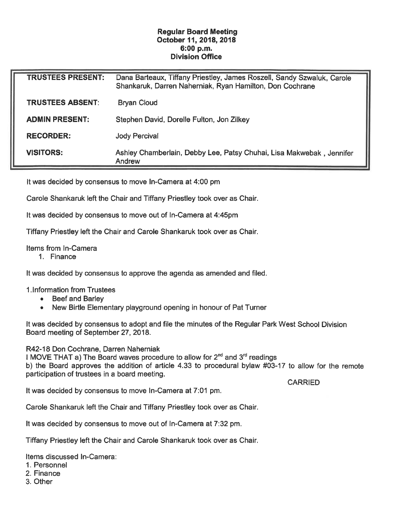## Regular Board Meeting October 11, 2018, 2018 6:00 p.m. Division Office

| <b>TRUSTEES PRESENT:</b> | Dana Barteaux, Tiffany Priestley, James Roszell, Sandy Szwaluk, Carole<br>Shankaruk, Darren Naherniak, Ryan Hamilton, Don Cochrane |
|--------------------------|------------------------------------------------------------------------------------------------------------------------------------|
| TRUSTEES ABSENT:         | <b>Bryan Cloud</b>                                                                                                                 |
| <b>ADMIN PRESENT:</b>    | Stephen David, Dorelle Fulton, Jon Zilkey                                                                                          |
| <b>RECORDER:</b>         | <b>Jody Percival</b>                                                                                                               |
| <b>VISITORS:</b>         | Ashley Chamberlain, Debby Lee, Patsy Chuhai, Lisa Makwebak, Jennifer<br>Andrew                                                     |

It was decided by consensus to move In-Camera at 4:00 pm

Carole Shankaruk left the Chair and Tiffany Priestley took over as Chair.

It was decided by consensus to move out of In-Camera at 4:45pm

Tiffany Priestley left the Chair and Carole Shankaruk took over as Chair.

Items from In-Camera

1. Finance

It was decided by consensus to approve the agenda as amended and filed.

1 . Information from Trustees

- . Beef and Barley
- . New Birtle Elementary playground opening in honour of Pat Turner

It was decided by consensus to adopt and file the minutes of the Regular Park West School Division Board meeting of September 27, 2018.

R42-18 Don Cochrane, Darren Naherniak

I MOVE THAT a) The Board waves procedure to allow for  $2<sup>nd</sup>$  and  $3<sup>rd</sup>$  readings b) the Board approves the addition of article 4. 33 to procedural bylaw #03-17 to allow for the remote participation of trustees in a board meeting.

It was decided by consensus to move In-Camera at 7:01 pm.

**CARRIED** 

Carole Shankaruk left the Chair and Tiffany Priestley took over as Chair.

It was decided by consensus to move out of In-Camera at 7:32 pm.

Tiffany Priestley left the Chair and Carols Shankaruk took over as Chair.

Items discussed In-Camera:

- 1. Personnel
- 2. Finance
- 3. Other